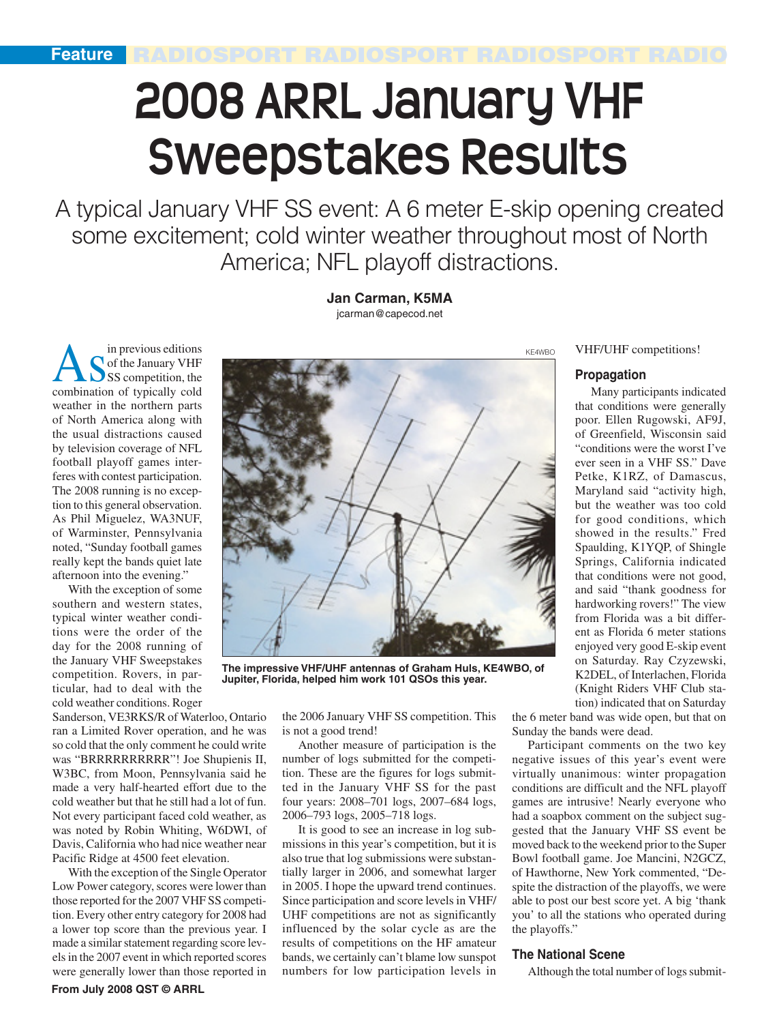# **2008 ARRL January VHF Sweepstakes Results**

A typical January VHF SS event: A 6 meter E-skip opening created some excitement; cold winter weather throughout most of North America; NFL playoff distractions.

> **Jan Carman, K5MA** jcarman@capecod.net

A S<sup>in previous</sup> editions<br>SSS competition, the<br>combination of tuningly and of the January VHF combination of typically cold weather in the northern parts of North America along with the usual distractions caused by television coverage of NFL football playoff games interferes with contest participation. The 2008 running is no exception to this general observation. As Phil Miguelez, WA3NUF, of Warminster, Pennsylvania noted, "Sunday football games really kept the bands quiet late afternoon into the evening."

With the exception of some southern and western states, typical winter weather conditions were the order of the day for the 2008 running of the January VHF Sweepstakes competition. Rovers, in particular, had to deal with the cold weather conditions. Roger

Sanderson, VE3RKS/R of Waterloo, Ontario ran a Limited Rover operation, and he was so cold that the only comment he could write was "BRRRRRRRRRR"! Joe Shupienis II, W3BC, from Moon, Pennsylvania said he made a very half-hearted effort due to the cold weather but that he still had a lot of fun. Not every participant faced cold weather, as was noted by Robin Whiting, W6DWI, of Davis, California who had nice weather near Pacific Ridge at 4500 feet elevation.

With the exception of the Single Operator Low Power category, scores were lower than those reported for the 2007 VHF SS competition. Every other entry category for 2008 had a lower top score than the previous year. I made a similar statement regarding score levels in the 2007 event in which reported scores were generally lower than those reported in



**The impressive VHF/UHF antennas of Graham Huls, KE4WBO, of Jupiter, Florida, helped him work 101 QSOs this year.**

the 2006 January VHF SS competition. This is not a good trend!

Another measure of participation is the number of logs submitted for the competition. These are the figures for logs submitted in the January VHF SS for the past four years: 2008–701 logs, 2007–684 logs, 2006–793 logs, 2005–718 logs.

It is good to see an increase in log submissions in this year's competition, but it is also true that log submissions were substantially larger in 2006, and somewhat larger in 2005. I hope the upward trend continues. Since participation and score levels in VHF/ UHF competitions are not as significantly influenced by the solar cycle as are the results of competitions on the HF amateur bands, we certainly can't blame low sunspot numbers for low participation levels in VHF/UHF competitions!

#### **Propagation**

Many participants indicated that conditions were generally poor. Ellen Rugowski, AF9J, of Greenfield, Wisconsin said "conditions were the worst I've ever seen in a VHF SS." Dave Petke, K1RZ, of Damascus, Maryland said "activity high, but the weather was too cold for good conditions, which showed in the results." Fred Spaulding, K1YQP, of Shingle Springs, California indicated that conditions were not good, and said "thank goodness for hardworking rovers!" The view from Florida was a bit different as Florida 6 meter stations enjoyed very good E-skip event on Saturday. Ray Czyzewski, K2DEL, of Interlachen, Florida (Knight Riders VHF Club station) indicated that on Saturday

the 6 meter band was wide open, but that on Sunday the bands were dead.

Participant comments on the two key negative issues of this year's event were virtually unanimous: winter propagation conditions are difficult and the NFL playoff games are intrusive! Nearly everyone who had a soapbox comment on the subject suggested that the January VHF SS event be moved back to the weekend prior to the Super Bowl football game. Joe Mancini, N2GCZ, of Hawthorne, New York commented, "Despite the distraction of the playoffs, we were able to post our best score yet. A big 'thank you' to all the stations who operated during the playoffs."

#### **The National Scene**

Although the total number of logs submit-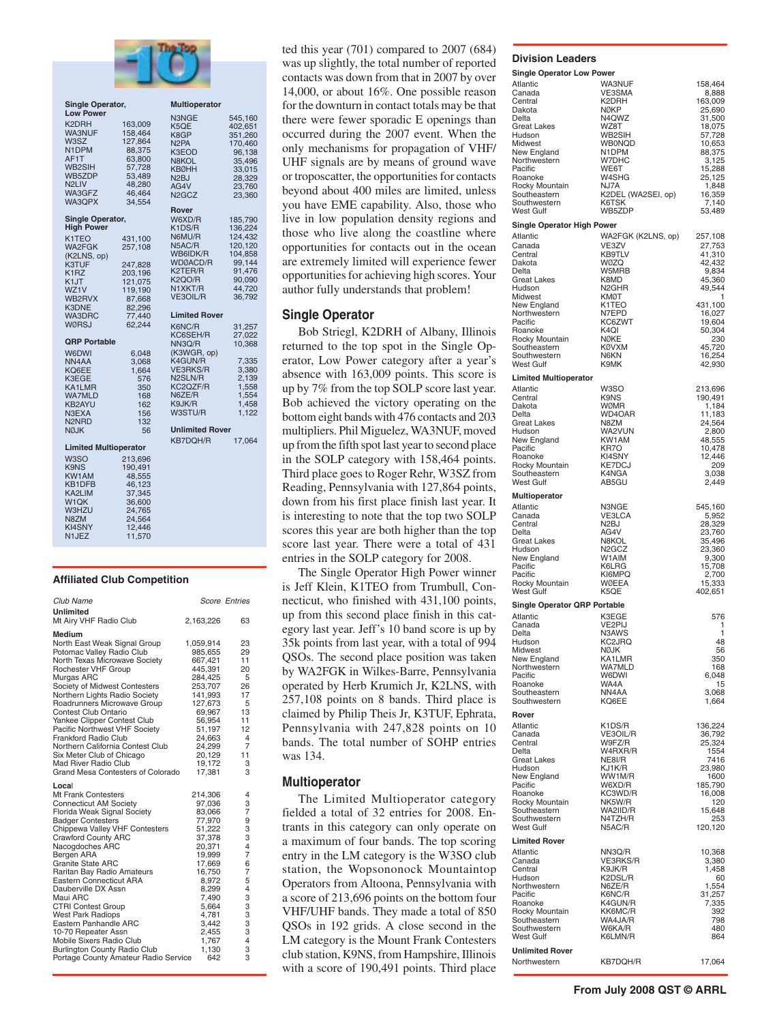

|                                | <b>Single Operator,</b>      |         | <b>Multioperator</b>           |         |  |  |  |  |
|--------------------------------|------------------------------|---------|--------------------------------|---------|--|--|--|--|
|                                | <b>Low Power</b>             |         | N3NGE                          | 545,160 |  |  |  |  |
| K <sub>2</sub> DRH             |                              | 163,009 | K5QE                           | 402,651 |  |  |  |  |
|                                | WA3NUF                       | 158,464 |                                |         |  |  |  |  |
| W3SZ                           |                              | 127,864 | K8GP                           | 351,260 |  |  |  |  |
|                                |                              |         | N <sub>2</sub> PA              | 170,460 |  |  |  |  |
|                                | N1DPM                        | 88,375  | K3EOD                          | 96,138  |  |  |  |  |
| AF1T                           |                              | 63,800  | N8KOL                          | 35,496  |  |  |  |  |
|                                | WB2SIH                       | 57,728  | <b>KBØHH</b>                   | 33,015  |  |  |  |  |
|                                | WB5ZDP                       | 53,489  | N2BJ                           | 28,329  |  |  |  |  |
| N <sub>2</sub> LIV             |                              | 48,280  | AG4V                           | 23,760  |  |  |  |  |
|                                | WA3GFZ                       | 46,464  | N <sub>2</sub> GC <sub>Z</sub> |         |  |  |  |  |
|                                | WA3QPX                       | 34,554  |                                | 23,360  |  |  |  |  |
|                                |                              |         | Rover                          |         |  |  |  |  |
|                                |                              |         |                                |         |  |  |  |  |
|                                | Single Operator,             |         | W6XD/R                         | 185,790 |  |  |  |  |
|                                | <b>High Power</b>            |         | K1DS/R                         | 136,224 |  |  |  |  |
| K <sub>1</sub> T <sub>EO</sub> |                              | 431,100 | N6MU/R                         | 124,432 |  |  |  |  |
|                                | WA2FGK                       | 257,108 | N5AC/R                         | 120,120 |  |  |  |  |
|                                | (K2LNS, op)                  |         | WB6IDK/R                       | 104,858 |  |  |  |  |
|                                |                              |         | WDØACD/R                       | 99,144  |  |  |  |  |
| K3TUF                          |                              | 247,828 | K2TER/R                        | 91,476  |  |  |  |  |
| K <sub>1</sub> RZ              |                              | 203,196 |                                |         |  |  |  |  |
| K1JT                           |                              | 121,075 | K2QO/R                         | 90,090  |  |  |  |  |
| WZ1V                           |                              | 119,190 | N1XKT/R                        | 44,720  |  |  |  |  |
|                                | WB2RVX                       | 87,668  | VE3OIL/R                       | 36,792  |  |  |  |  |
| K3DNE                          |                              | 82,296  |                                |         |  |  |  |  |
|                                | <b>WA3DRC</b>                | 77,440  | <b>Limited Rover</b>           |         |  |  |  |  |
|                                | <b>WØRSJ</b>                 | 62,244  |                                |         |  |  |  |  |
|                                |                              |         | K6NC/R                         | 31,257  |  |  |  |  |
|                                |                              |         | KC6SEH/R                       | 27,022  |  |  |  |  |
|                                | <b>QRP Portable</b>          |         | NN3Q/R                         | 10,368  |  |  |  |  |
| W6DWI                          |                              | 6,048   | (K3WGR, op)                    |         |  |  |  |  |
| NN4AA                          |                              | 3,068   | K4GUN/R                        | 7,335   |  |  |  |  |
| KQ6EE                          |                              | 1,664   | <b>VE3RKS/R</b>                | 3,380   |  |  |  |  |
| K3EGE                          |                              | 576     | N <sub>2</sub> SLN/R           | 2,139   |  |  |  |  |
|                                | KA1LMR                       | 350     | KC2QZF/R                       | 1,558   |  |  |  |  |
|                                |                              |         | N6ZE/R                         | 1,554   |  |  |  |  |
|                                | <b>WA7MLD</b>                | 168     |                                |         |  |  |  |  |
|                                | KB2AYU                       | 162     | K9JK/R                         | 1,458   |  |  |  |  |
| N3EXA                          |                              | 156     | W3STU/R                        | 1,122   |  |  |  |  |
| N <sub>2</sub> N <sub>RD</sub> |                              | 132     |                                |         |  |  |  |  |
| <b>NØJK</b>                    |                              | 56      | <b>Unlimited Rover</b>         |         |  |  |  |  |
|                                |                              |         | KB7DQH/R                       | 17,064  |  |  |  |  |
|                                | <b>Limited Multioperator</b> |         |                                |         |  |  |  |  |
|                                |                              |         |                                |         |  |  |  |  |
| W3SO                           |                              | 213,696 |                                |         |  |  |  |  |
| K9NS                           |                              | 190,491 |                                |         |  |  |  |  |
|                                | KW1AM                        | 48,555  |                                |         |  |  |  |  |
|                                | KB1DFB                       | 46,123  |                                |         |  |  |  |  |
|                                | KA2LIM                       | 37,345  |                                |         |  |  |  |  |
| W <sub>1</sub> QK              |                              | 36,600  |                                |         |  |  |  |  |
|                                |                              |         |                                |         |  |  |  |  |
|                                | <b>W3HZU</b>                 | 24,765  |                                |         |  |  |  |  |
| N8ZM                           |                              | 24,564  |                                |         |  |  |  |  |
|                                | KI4SNY                       | 12,446  |                                |         |  |  |  |  |
| N1JEZ                          |                              | 11,570  |                                |         |  |  |  |  |
|                                |                              |         |                                |         |  |  |  |  |
|                                |                              |         |                                |         |  |  |  |  |

#### **Affiliated Club Competition**

| Club Name                                                                                                                                                                                                                                                                                                                                                                                                                          |                                                                                                                                                    | <b>Score Entries</b>                                                                 |
|------------------------------------------------------------------------------------------------------------------------------------------------------------------------------------------------------------------------------------------------------------------------------------------------------------------------------------------------------------------------------------------------------------------------------------|----------------------------------------------------------------------------------------------------------------------------------------------------|--------------------------------------------------------------------------------------|
| Unlimited<br>Mt Airy VHF Radio Club                                                                                                                                                                                                                                                                                                                                                                                                | 2,163,226                                                                                                                                          | 63                                                                                   |
|                                                                                                                                                                                                                                                                                                                                                                                                                                    |                                                                                                                                                    |                                                                                      |
| Medium<br>North East Weak Signal Group<br>Potomac Valley Radio Club<br>North Texas Microwave Society<br>Rochester VHF Group<br>Murgas ARC<br>Society of Midwest Contesters<br>Northern Lights Radio Society<br>Roadrunners Microwave Group<br>Contest Club Ontario<br>Yankee Clipper Contest Club<br>Pacific Northwest VHF Society<br><b>Frankford Radio Club</b><br>Northern California Contest Club<br>Six Meter Club of Chicago | 1,059,914<br>985,655<br>667,421<br>445,391<br>284,425<br>253,707<br>141,993<br>127,673<br>69,967<br>56,954<br>51,197<br>24,663<br>24,299<br>20,129 | 23<br>29<br>11<br>20<br>5<br>26<br>17<br>5<br>13<br>11<br>12<br>4<br>7<br>11         |
| Mad River Radio Club                                                                                                                                                                                                                                                                                                                                                                                                               | 19,172                                                                                                                                             | 3                                                                                    |
| Grand Mesa Contesters of Colorado                                                                                                                                                                                                                                                                                                                                                                                                  | 17.381                                                                                                                                             | 3                                                                                    |
| Local<br><b>Mt Frank Contesters</b><br><b>Connecticut AM Society</b><br>Florida Weak Signal Society<br><b>Badger Contesters</b><br>Chippewa Valley VHF Contesters<br><b>Crawford County ARC</b><br>Nacogdoches ARC<br>Bergen ARA<br><b>Granite State ARC</b><br>Raritan Bay Radio Amateurs<br>Eastern Connecticut ARA<br>Dauberville DX Assn<br>Maui ARC<br><b>CTRI Contest Group</b><br><b>West Park Radiops</b>                  | 214,306<br>97,036<br>83,066<br>77,970<br>51,222<br>37,378<br>20,371<br>19,999<br>17,669<br>16,750<br>8,972<br>8,299<br>7,490<br>5,664<br>4,781     | $\overline{4}$<br>3<br>7<br>9<br>3<br>3<br>4<br>7<br>6<br>7<br>5<br>4<br>3<br>3<br>3 |
| Eastern Panhandle ARC                                                                                                                                                                                                                                                                                                                                                                                                              | 3,442                                                                                                                                              | 3<br>3                                                                               |
| 10-70 Repeater Assn<br>Mobile Sixers Radio Club<br><b>Burlington County Radio Club</b>                                                                                                                                                                                                                                                                                                                                             | 2,455<br>1,767<br>1,130                                                                                                                            | 4<br>3                                                                               |
| Portage County Amateur Radio Service                                                                                                                                                                                                                                                                                                                                                                                               | 642                                                                                                                                                | 3                                                                                    |

 $R = \frac{R}{200}$  RADIOSPORT RADIOSPORT RADIO ted this year (701) compared to 2007 (684) was up slightly, the total number of reported contacts was down from that in 2007 by over 14,000, or about 16%. One possible reason for the downturn in contact totals may be that there were fewer sporadic E openings than occurred during the 2007 event. When the only mechanisms for propagation of VHF/ UHF signals are by means of ground wave or troposcatter, the opportunities for contacts beyond about 400 miles are limited, unless you have EME capability. Also, those who live in low population density regions and those who live along the coastline where opportunities for contacts out in the ocean are extremely limited will experience fewer opportunities for achieving high scores. Your author fully understands that problem!

#### **Single Operator**

Bob Striegl, K2DRH of Albany, Illinois returned to the top spot in the Single Operator, Low Power category after a year's absence with 163,009 points. This score is up by 7% from the top SOLP score last year. Bob achieved the victory operating on the bottom eight bands with 476 contacts and 203 multipliers. Phil Miguelez, WA3NUF, moved up from the fifth spot last year to second place in the SOLP category with 158,464 points. Third place goes to Roger Rehr, W3SZ from Reading, Pennsylvania with 127,864 points, down from his first place finish last year. It is interesting to note that the top two SOLP scores this year are both higher than the top score last year. There were a total of 431 entries in the SOLP category for 2008.

The Single Operator High Power winner is Jeff Klein, K1TEO from Trumbull, Connecticut, who finished with 431,100 points, up from this second place finish in this category last year. Jeff's 10 band score is up by 35k points from last year, with a total of 994 QSOs. The second place position was taken by WA2FGK in Wilkes-Barre, Pennsylvania operated by Herb Krumich Jr, K2LNS, with 257,108 points on 8 bands. Third place is claimed by Philip Theis Jr, K3TUF, Ephrata, Pennsylvania with 247,828 points on 10 bands. The total number of SOHP entries was 134.

#### **Multioperator**

The Limited Multioperator category fielded a total of 32 entries for 2008. Entrants in this category can only operate on a maximum of four bands. The top scoring entry in the LM category is the W3SO club station, the Wopsononock Mountaintop Operators from Altoona, Pennsylvania with a score of 213,696 points on the bottom four VHF/UHF bands. They made a total of 850 QSOs in 192 grids. A close second in the LM category is the Mount Frank Contesters club station, K9NS, from Hampshire, Illinois with a score of 190,491 points. Third place

#### **Division Leaders**

| Single Operator Low Powe |  |
|--------------------------|--|

| <b>Single Operator Low Power</b>              |                                |                   |
|-----------------------------------------------|--------------------------------|-------------------|
| Atlantic                                      | <b>WA3NUF</b>                  | 158,464           |
| Canada<br>Central                             | VE3SMA<br>K2DRH                | 8,888<br>163,009  |
| Dakota                                        | <b>NØKP</b>                    | 25,690            |
| Delta                                         | N4QWZ                          | 31,500            |
| <b>Great Lakes</b><br>Hudson                  | WZ8T<br>WB2SIH                 | 18,075<br>57,728  |
| Midwest                                       | <b>WB0NQD</b>                  | 10,653            |
| New England                                   | N1DPM                          | 88,375            |
| Northwestern                                  | W7DHC                          | 3,125             |
| Pacific<br>Roanoke                            | WE6T<br>W4SHG                  | 15,288<br>25,125  |
| Rocky Mountain                                | NJ7A                           | 1,848             |
| Southeastern                                  | K2DEL (WA2SEI, op)             | 16,359            |
| Southwestern<br>West Gulf                     | K6TSK<br>WB5ZDP                | 7,140<br>53,489   |
|                                               |                                |                   |
| <b>Single Operator High Power</b><br>Atlantic | WA2FGK (K2LNS, op)             |                   |
| Canada                                        | VE3ZV                          | 257,108<br>27,753 |
| Central                                       | KB9TLV                         | 41,310            |
| Dakota                                        | <b>WØZQ</b>                    | 42,432            |
| Delta<br>Great Lakes                          | W5MRB<br>K8MD                  | 9,834             |
| Hudson                                        | N <sub>2</sub> GHR             | 45,360<br>49,544  |
| Midwest                                       | KMØT                           | 1                 |
| New England                                   | K <sub>1</sub> T <sub>EO</sub> | 431,100           |
| Northwestern<br>Pacific                       | N7EPD<br>KC6ZWT                | 16,027<br>19,604  |
| Roanoke                                       | K <sub>4</sub> QI              | 50,304            |
| Rocky Mountain                                | NØKE                           | 230               |
| Southeastern<br>Southwestern                  | <b>KØVXM</b><br>N6KN           | 45,720<br>16,254  |
| West Gulf                                     | K9MK                           | 42,930            |
| <b>Limited Multioperator</b>                  |                                |                   |
| Atlantic                                      | W3SO                           | 213,696           |
| Central                                       | K9NS                           | 190,491           |
| Dakota                                        | WØMR                           | 1,184             |
| Delta<br><b>Great Lakes</b>                   | WD4OAR<br>N8ZM                 | 11,183<br>24,564  |
| Hudson                                        | WA2VUN                         | 2,800             |
| New England                                   | KW1AM                          | 48,555            |
| Pacific                                       | KR7O                           | 10,478            |
| Roanoke<br>Rocky Mountain                     | KI4SNY<br><b>KE7DCJ</b>        | 12,446<br>209     |
| Southeastern                                  | K4NGA                          | 3,038             |
| West Gulf                                     | AB5GU                          | 2,449             |
| <b>Multioperator</b>                          |                                |                   |
| Atlantic                                      | N3NGE                          | 545,160           |
| Canada                                        | <b>VE3LCA</b>                  | 5,952             |
| Central<br>Delta                              | N <sub>2</sub> BJ<br>AG4V      | 28,329<br>23,760  |
| Great Lakes                                   | N8KOL                          |                   |
| Hudson                                        | N <sub>2</sub> GC <sub>Z</sub> | 35,496<br>23,360  |
| New England<br>Pacific                        | W1AIM<br>K6LRG                 | 9,300<br>15,708   |
| Pacific                                       | KI6MPQ                         | 2,700             |
| Rocky Mountain                                | WØEEA                          | 15,333            |
| West Gulf                                     | K5QE                           | 402,651           |
| Single Operator QRP Portable                  |                                |                   |
| Atlantic                                      | K3EGE                          | 576               |
| Canada                                        | VE2PIJ                         | 1                 |
| Delta<br>Hudson                               | N3AWS<br>KC2JRQ                | 1<br>48           |
| Midwest                                       | <b>NØJK</b>                    | 56                |
| New England                                   | KA1LMR                         | 350               |
| Northwestern<br>Pacific                       | WA7MLD<br>W6DWI                | 168<br>6,048      |
| Roanoke                                       | WA4A                           | 15                |
| Southeastern                                  | NN4AA                          | 3,068             |
| Southwestern                                  | KQ6EE                          | 1,664             |
| Rover                                         |                                |                   |
| Atlantic                                      | K1DS/R                         | 136,224           |
| Canada<br>Central                             | VE3OIL/R<br>W9FZ/R             | 36,792<br>25,324  |
| Delta                                         | W4RXR/R                        | 1554              |
| Great Lakes                                   | NE8I/R                         | 7416              |
| Hudson<br>New England                         | KJ1K/R<br>WW1M/R               | 23,980<br>1600    |
| Pacific                                       | W6XD/R                         | 185,790           |
| Roanoke                                       | KC3WD/R                        | 16,008            |
| Rocky Mountain                                | NK5W/R                         | 120               |
| Southeastern<br>Southwestern                  | WA2IID/R<br>N4TZH/R            | 15,648<br>253     |
| <b>West Gulf</b>                              | N5AC/R                         | 120,120           |
| <b>Limited Rover</b>                          |                                |                   |
| Atlantic                                      | NN3Q/R                         | 10,368            |
| Canada                                        | <b>VE3RKS/R</b>                | 3,380             |
| Central<br>Hudson                             | K9JK/R<br>K2DSL/R              | 1,458             |
| Northwestern                                  | N6ZE/R                         | 60<br>1,554       |
| Pacific                                       | K6NC/R                         | 31,257            |
| Roanoke                                       | K4GUN/R                        | 7,335             |
| Rocky Mountain<br>Southeastern                | KK6MC/R<br>WA4JA/R             | 392<br>798        |
| Southwestern                                  | W6KA/R                         | 480               |
| West Gulf                                     | K6LMN/R                        | 864               |
| <b>Unlimited Rover</b>                        |                                |                   |
| Northwestern                                  | <b>KB7DQH/R</b>                | 17,064            |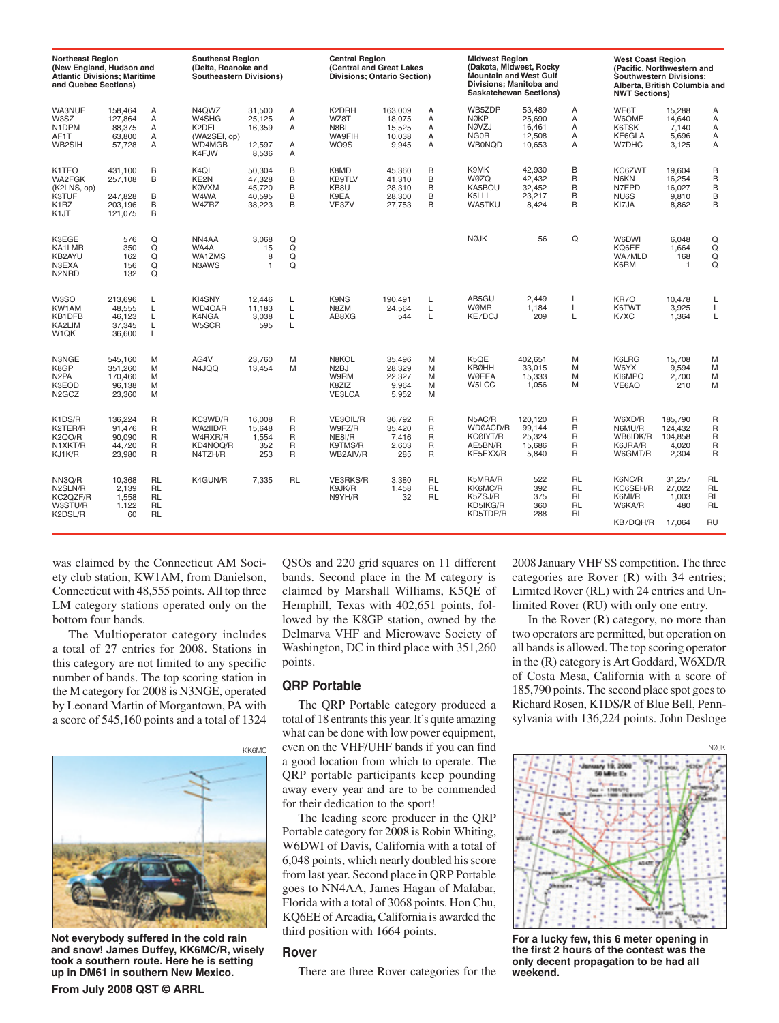| <b>Northeast Region</b><br>(New England, Hudson and<br><b>Atlantic Divisions: Maritime</b><br>and Quebec Sections) |                                                     |                                                               | <b>Southeast Region</b><br>(Delta, Roanoke and<br><b>Southeastern Divisions)</b> |                                                |                                                                   | <b>Central Region</b><br>(Central and Great Lakes<br><b>Divisions: Ontario Section)</b> |                                                |                                     | <b>Midwest Region</b><br>(Dakota, Midwest, Rocky<br><b>Mountain and West Gulf</b><br>Divisions: Manitoba and<br><b>Saskatchewan Sections)</b> |                                                |                                                 | <b>West Coast Region</b><br>(Pacific, Northwestern and<br><b>Southwestern Divisions:</b><br>Alberta, British Columbia and<br><b>NWT Sections)</b> |                                                 |                                                               |
|--------------------------------------------------------------------------------------------------------------------|-----------------------------------------------------|---------------------------------------------------------------|----------------------------------------------------------------------------------|------------------------------------------------|-------------------------------------------------------------------|-----------------------------------------------------------------------------------------|------------------------------------------------|-------------------------------------|-----------------------------------------------------------------------------------------------------------------------------------------------|------------------------------------------------|-------------------------------------------------|---------------------------------------------------------------------------------------------------------------------------------------------------|-------------------------------------------------|---------------------------------------------------------------|
| WA3NUF<br>W3SZ<br>N <sub>1</sub> DPM<br>AF1T<br>WB2SIH                                                             | 158.464<br>127,864<br>88,375<br>63.800<br>57.728    | A<br>A<br>A<br>A<br>A                                         | N4QWZ<br>W4SHG<br>K2DEL<br>(WA2SEI, op)<br>WD4MGB<br>K4FJW                       | 31.500<br>25,125<br>16,359<br>12,597<br>8.536  | A<br>Α<br>A<br>A<br>A                                             | K2DRH<br>WZ8T<br>N8BI<br><b>WA9FIH</b><br>WO9S                                          | 163.009<br>18,075<br>15,525<br>10.038<br>9.945 | A<br>A<br>Α<br>A<br>A               | WB5ZDP<br><b>NØKP</b><br><b>NØVZJ</b><br>NG0R<br><b>WB0NQD</b>                                                                                | 53.489<br>25.690<br>16,461<br>12,508<br>10.653 | Α<br>A<br>A<br>A<br>A                           | WE6T<br><b>W6OMF</b><br>K6TSK<br>KE6GLA<br>W7DHC                                                                                                  | 15.288<br>14.640<br>7,140<br>5.696<br>3,125     | Α<br>Α<br>Α<br>А<br>A                                         |
| K1TEO<br>WA2FGK<br>(K2LNS, op)<br>K3TUF<br>K <sub>1</sub> RZ<br>K <sub>1</sub> JT                                  | 431.100<br>257,108<br>247.828<br>203,196<br>121,075 | B<br>B<br>B<br>B<br>B                                         | K <sub>4</sub> QI<br>KE2N<br><b>KØVXM</b><br>W4WA<br>W4ZRZ                       | 50,304<br>47,328<br>45,720<br>40,595<br>38,223 | B<br>B<br>B<br>B<br>B                                             | K8MD<br>KB9TLV<br>KB8U<br>K9EA<br>VE3ZV                                                 | 45.360<br>41,310<br>28,310<br>28,300<br>27,753 | B<br>B<br>B<br>B<br>B               | K9MK<br><b>WØZQ</b><br>KA5BOU<br>K5LLL<br>WA5TKU                                                                                              | 42.930<br>42,432<br>32,452<br>23,217<br>8.424  | B<br>B<br>B<br>B<br>B                           | KC6ZWT<br>N6KN<br>N7EPD<br>NU6S<br>KI7JA                                                                                                          | 19.604<br>16,254<br>16,027<br>9.810<br>8.862    | B<br>B<br>B<br>B<br>B                                         |
| K3EGE<br>KA1LMR<br>KB2AYU<br>N3EXA<br>N <sub>2</sub> N <sub>RD</sub>                                               | 576<br>350<br>162<br>156<br>132                     | Q<br>Q<br>Q<br>Q<br>Q                                         | NN4AA<br>WA4A<br>WA1ZMS<br>N3AWS                                                 | 3.068<br>15<br>8<br>1                          | Q<br>Q<br>Q<br>Q                                                  |                                                                                         |                                                |                                     | <b>NØJK</b>                                                                                                                                   | 56                                             | Q                                               | W6DWI<br>KQ6EE<br><b>WA7MLD</b><br>K6RM                                                                                                           | 6,048<br>1,664<br>168<br>1                      | Q<br>$\frac{Q}{Q}$<br>Q                                       |
| W3SO<br>KW1AM<br>KB1DFB<br>KA2LIM<br>W <sub>1</sub> QK                                                             | 213,696<br>48.555<br>46.123<br>37,345<br>36.600     | L<br>L<br>L<br>L<br>Г                                         | KI4SNY<br>WD4OAR<br>K4NGA<br>W5SCR                                               | 12.446<br>11.183<br>3.038<br>595               | L<br>L<br>Г<br>L                                                  | K9NS<br>N8ZM<br>AB8XG                                                                   | 190.491<br>24.564<br>544                       | L<br>L<br>L                         | AB5GU<br><b>WØMR</b><br><b>KE7DCJ</b>                                                                                                         | 2.449<br>1,184<br>209                          | L<br>L<br>Г                                     | KR7O<br>K6TWT<br>K7XC                                                                                                                             | 10,478<br>3,925<br>1,364                        | L<br>L<br>L                                                   |
| N3NGE<br>K8GP<br>N <sub>2</sub> PA<br>K3EOD<br>N <sub>2</sub> GC <sub>Z</sub>                                      | 545,160<br>351.260<br>170.460<br>96.138<br>23.360   | M<br>M<br>M<br>M<br>M                                         | AG4V<br>N4JQQ                                                                    | 23.760<br>13.454                               | M<br>M                                                            | N8KOL<br>N <sub>2</sub> BJ<br>W9RM<br>K8ZIZ<br><b>VE3LCA</b>                            | 35,496<br>28.329<br>22.327<br>9.964<br>5.952   | M<br>M<br>M<br>M<br>M               | K5QE<br><b>KBØHH</b><br><b>WØEEA</b><br>W5LCC                                                                                                 | 402,651<br>33.015<br>15.333<br>1.056           | M<br>M<br>M<br>M                                | K6LRG<br>W6YX<br>KI6MPQ<br>VE6AO                                                                                                                  | 15,708<br>9.594<br>2.700<br>210                 | M<br>M<br>M<br>M                                              |
| K1DS/R<br>K2TER/R<br><b>K2OO/R</b><br>N1XKT/R<br>KJ1K/R                                                            | 136,224<br>91.476<br>90.090<br>44.720<br>23,980     | R<br>$\mathsf{R}$<br>$\mathsf{R}$<br>$\mathsf{R}$<br>R        | KC3WD/R<br>WA2IID/R<br>W4RXR/R<br>KD4NOQ/R<br>N4TZH/R                            | 16.008<br>15.648<br>1.554<br>352<br>253        | $\mathsf{R}$<br>$\mathsf{R}$<br>$\mathsf{R}$<br>$\mathsf{R}$<br>R | VE3OIL/R<br>W9FZ/R<br>NE8I/R<br>K9TMS/R<br>WB2AIV/R                                     | 36.792<br>35.420<br>7.416<br>2,603<br>285      | R<br>R<br>$\mathsf{R}$<br>R<br>R    | N5AC/R<br>WDØACD/R<br><b>KCØIYT/R</b><br>AE5BN/R<br>KE5EXX/R                                                                                  | 120,120<br>99.144<br>25.324<br>15,686<br>5,840 | R<br>R<br>R<br>R<br>R                           | W6XD/R<br>N6MU/R<br>WB6IDK/R<br>K6JRA/R<br>W6GMT/R                                                                                                | 185,790<br>124.432<br>104.858<br>4.020<br>2,304 | $\mathsf{R}$<br>R<br>R<br>R<br>$\overline{R}$                 |
| NN3Q/R<br>N2SLN/R<br>KC2QZF/R<br>W3STU/R<br>K2DSL/R                                                                | 10,368<br>2.139<br>1.558<br>1.122<br>60             | <b>RL</b><br><b>RL</b><br><b>RL</b><br><b>RL</b><br><b>RL</b> | K4GUN/R                                                                          | 7.335                                          | <b>RL</b>                                                         | VE3RKS/R<br>K9JK/R<br>N9YH/R                                                            | 3.380<br>1.458<br>32                           | <b>RL</b><br><b>RL</b><br><b>RL</b> | K5MRA/R<br>KK6MC/R<br>K5ZSJ/R<br>KD5IKG/R<br>KD5TDP/R                                                                                         | 522<br>392<br>375<br>360<br>288                | <b>RL</b><br><b>RL</b><br><b>RL</b><br>RL<br>RL | K6NC/R<br>KC6SEH/R<br>K6MI/R<br>W6KA/R<br><b>KB7DQH/R</b>                                                                                         | 31,257<br>27.022<br>1.003<br>480<br>17,064      | <b>RL</b><br><b>RL</b><br><b>RL</b><br><b>RL</b><br><b>RU</b> |

was claimed by the Connecticut AM Society club station, KW1AM, from Danielson, Connecticut with 48,555 points. All top three LM category stations operated only on the bottom four bands.

The Multioperator category includes a total of 27 entries for 2008. Stations in this category are not limited to any specific number of bands. The top scoring station in the M category for 2008 is N3NGE, operated by Leonard Martin of Morgantown, PA with a score of 545,160 points and a total of 1324



**Not everybody suffered in the cold rain and snow! James Duffey, KK6MC/R, wisely took a southern route. Here he is setting up in DM61 in southern New Mexico.**

QSOs and 220 grid squares on 11 different bands. Second place in the M category is claimed by Marshall Williams, K5QE of Hemphill, Texas with 402,651 points, followed by the K8GP station, owned by the Delmarva VHF and Microwave Society of Washington, DC in third place with 351,260 points.

#### **QRP Portable**

The QRP Portable category produced a total of 18 entrants this year. It's quite amazing what can be done with low power equipment, even on the VHF/UHF bands if you can find a good location from which to operate. The QRP portable participants keep pounding away every year and are to be commended for their dedication to the sport!

The leading score producer in the QRP Portable category for 2008 is Robin Whiting, W6DWI of Davis, California with a total of 6,048 points, which nearly doubled his score from last year. Second place in QRP Portable goes to NN4AA, James Hagan of Malabar, Florida with a total of 3068 points. Hon Chu, KQ6EE of Arcadia, California is awarded the third position with 1664 points.

#### **Rover**

There are three Rover categories for the

2008 January VHF SS competition. The three categories are Rover (R) with 34 entries; Limited Rover (RL) with 24 entries and Unlimited Rover (RU) with only one entry.

In the Rover (R) category, no more than two operators are permitted, but operation on all bands is allowed. The top scoring operator in the (R) category is Art Goddard, W6XD/R of Costa Mesa, California with a score of 185,790 points. The second place spot goes to Richard Rosen, K1DS/R of Blue Bell, Pennsylvania with 136,224 points. John Desloge



**For a lucky few, this 6 meter opening in the first 2 hours of the contest was the only decent propagation to be had all weekend.**